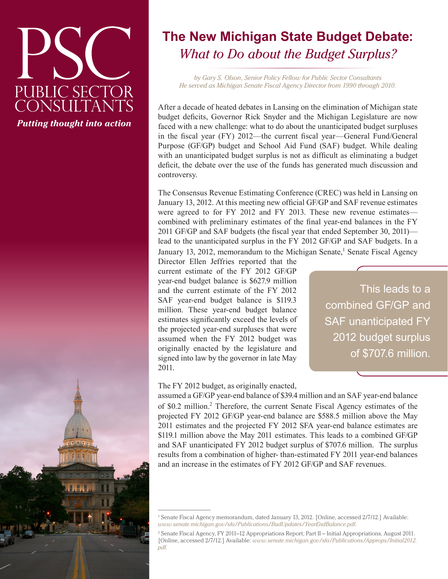# PUBLIC SECTOR<br>CONSULTANTS *Putting thought into action*

# **The New Michigan State Budget Debate:** *What to Do about the Budget Surplus?*

*by Gary S. Olson, Senior Policy Fellow for Public Sector Consultants He served as Michigan Senate Fiscal Agency Director from 1990 through 2010.*

After a decade of heated debates in Lansing on the elimination of Michigan state budget deficits, Governor Rick Snyder and the Michigan Legislature are now faced with a new challenge: what to do about the unanticipated budget surpluses in the fiscal year (FY) 2012—the current fiscal year—General Fund/General Purpose (GF/GP) budget and School Aid Fund (SAF) budget. While dealing with an unanticipated budget surplus is not as difficult as eliminating a budget deficit, the debate over the use of the funds has generated much discussion and controversy.

The Consensus Revenue Estimating Conference (CREC) was held in Lansing on January 13, 2012. At this meeting new official GF/GP and SAF revenue estimates were agreed to for FY 2012 and FY 2013. These new revenue estimates combined with preliminary estimates of the final year-end balances in the FY 2011 GF/GP and SAF budgets (the fiscal year that ended September 30, 2011) lead to the unanticipated surplus in the FY 2012 GF/GP and SAF budgets. In a January 13, 2012, memorandum to the Michigan Senate,<sup>1</sup> Senate Fiscal Agency

Director Ellen Jeffries reported that the current estimate of the FY 2012 GF/GP year-end budget balance is \$627.9 million and the current estimate of the FY 2012 SAF year-end budget balance is \$119.3 million. These year-end budget balance estimates significantly exceed the levels of the projected year-end surpluses that were assumed when the FY 2012 budget was originally enacted by the legislature and signed into law by the governor in late May 2011.

This leads to a combined GF/GP and SAF unanticipated FY 2012 budget surplus of \$707.6 million.

#### The FY 2012 budget, as originally enacted,

assumed a GF/GP year-end balance of \$39.4 million and an SAF year-end balance of \$0.2 million.<sup>2</sup> Therefore, the current Senate Fiscal Agency estimates of the projected FY 2012 GF/GP year-end balance are \$588.5 million above the May 2011 estimates and the projected FY 2012 SFA year-end balance estimates are \$119.1 million above the May 2011 estimates. This leads to a combined GF/GP and SAF unanticipated FY 2012 budget surplus of \$707.6 million. The surplus results from a combination of higher- than-estimated FY 2011 year-end balances and an increase in the estimates of FY 2012 GF/GP and SAF revenues.

<sup>1</sup> Senate Fiscal Agency memorandum, dated January 13, 2012. [Online, accessed 2/7/12.] Available: *[www.senate.michigan.gov/sfa/Publications/BudUpdates/YearEndBalance.pdf](http://www.senate.michigan.gov/sfa/Publications/BudUpdates/YearEndBalance.pdf)*.

<sup>2</sup> Senate Fiscal Agency, FY 2011–12 Appropriations Report, Part II – Initial Appropriations, August 2011. [Online, accessed 2/7/12.] Available: *[www.senate.michigan.gov/sfa/Publications/Approps/Initial2012.](http://www.senate.michigan.gov/sfa/Publications/Approps/Initial2012.pdf) [pdf.](http://www.senate.michigan.gov/sfa/Publications/Approps/Initial2012.pdf)*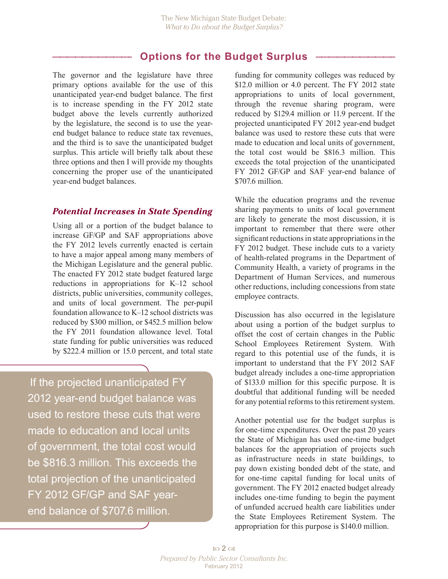## **Options for the Budget Surplus**

The governor and the legislature have three primary options available for the use of this unanticipated year-end budget balance. The first is to increase spending in the FY 2012 state budget above the levels currently authorized by the legislature, the second is to use the yearend budget balance to reduce state tax revenues, and the third is to save the unanticipated budget surplus. This article will briefly talk about these three options and then I will provide my thoughts concerning the proper use of the unanticipated year-end budget balances.

#### *Potential Increases in State Spending*

Using all or a portion of the budget balance to increase GF/GP and SAF appropriations above the FY 2012 levels currently enacted is certain to have a major appeal among many members of the Michigan Legislature and the general public. The enacted FY 2012 state budget featured large reductions in appropriations for K–12 school districts, public universities, community colleges, and units of local government. The per-pupil foundation allowance to K–12 school districts was reduced by \$300 million, or \$452.5 million below the FY 2011 foundation allowance level. Total state funding for public universities was reduced by \$222.4 million or 15.0 percent, and total state

If the projected unanticipated FY 2012 year-end budget balance was used to restore these cuts that were made to education and local units of government, the total cost would be \$816.3 million. This exceeds the total projection of the unanticipated FY 2012 GF/GP and SAF yearend balance of \$707.6 million.

funding for community colleges was reduced by \$12.0 million or 4.0 percent. The FY 2012 state appropriations to units of local government, through the revenue sharing program, were reduced by \$129.4 million or 11.9 percent. If the projected unanticipated FY 2012 year-end budget balance was used to restore these cuts that were made to education and local units of government, the total cost would be \$816.3 million. This exceeds the total projection of the unanticipated FY 2012 GF/GP and SAF year-end balance of \$707.6 million.

While the education programs and the revenue sharing payments to units of local government are likely to generate the most discussion, it is important to remember that there were other significant reductions in state appropriations in the FY 2012 budget. These include cuts to a variety of health-related programs in the Department of Community Health, a variety of programs in the Department of Human Services, and numerous other reductions, including concessions from state employee contracts.

Discussion has also occurred in the legislature about using a portion of the budget surplus to offset the cost of certain changes in the Public School Employees Retirement System. With regard to this potential use of the funds, it is important to understand that the FY 2012 SAF budget already includes a one-time appropriation of \$133.0 million for this specific purpose. It is doubtful that additional funding will be needed for any potential reforms to this retirement system.

Another potential use for the budget surplus is for one-time expenditures. Over the past 20 years the State of Michigan has used one-time budget balances for the appropriation of projects such as infrastructure needs in state buildings, to pay down existing bonded debt of the state, and for one-time capital funding for local units of government. The FY 2012 enacted budget already includes one-time funding to begin the payment of unfunded accrued health care liabilities under the State Employees Retirement System. The appropriation for this purpose is \$140.0 million.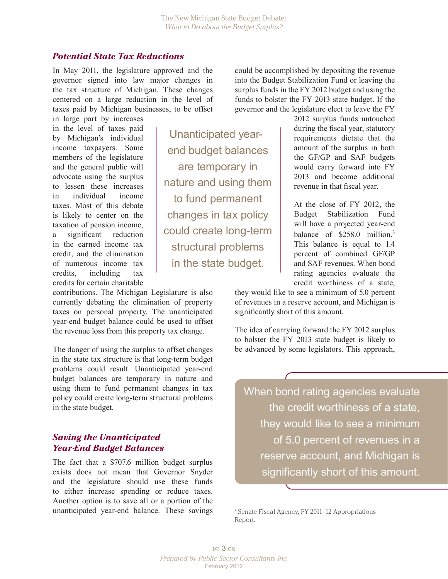Unanticipated year-

end budget balances

are temporary in

nature and using them

to fund permanent

changes in tax policy

could create long-term

structural problems

in the state budget.

#### *Potential State Tax Reductions*

In May 2011, the legislature approved and the governor signed into law major changes in the tax structure of Michigan. These changes centered on a large reduction in the level of taxes paid by Michigan businesses, to be offset

in large part by increases in the level of taxes paid by Michigan's individual income taxpayers. Some members of the legislature and the general public will advocate using the surplus to lessen these increases in individual income taxes. Most of this debate is likely to center on the taxation of pension income, a significant reduction in the earned income tax credit, and the elimination of numerous income tax credits, including tax credits for certain charitable

contributions. The Michigan Legislature is also currently debating the elimination of property taxes on personal property. The unanticipated year-end budget balance could be used to offset the revenue loss from this property tax change.

The danger of using the surplus to offset changes in the state tax structure is that long-term budget problems could result. Unanticipated year-end budget balances are temporary in nature and using them to fund permanent changes in tax policy could create long-term structural problems in the state budget.

#### *Saving the Unanticipated Year-End Budget Balances*

The fact that a \$707.6 million budget surplus exists does not mean that Governor Snyder and the legislature should use these funds to either increase spending or reduce taxes. Another option is to save all or a portion of the unanticipated year-end balance. These savings

could be accomplished by depositing the revenue into the Budget Stabilization Fund or leaving the surplus funds in the FY 2012 budget and using the funds to bolster the FY 2013 state budget. If the governor and the legislature elect to leave the FY

2012 surplus funds untouched during the fiscal year, statutory requirements dictate that the amount of the surplus in both the GF/GP and SAF budgets would carry forward into FY 2013 and become additional revenue in that fiscal year.

At the close of FY 2012, the Budget Stabilization Fund will have a projected year-end balance of \$258.0 million.<sup>3</sup> This balance is equal to 1.4 percent of combined GF/GP and SAF revenues. When bond rating agencies evaluate the credit worthiness of a state,

they would like to see a minimum of 5.0 percent of revenues in a reserve account, and Michigan is significantly short of this amount.

The idea of carrying forward the FY 2012 surplus to bolster the FY 2013 state budget is likely to be advanced by some legislators. This approach,

When bond rating agencies evaluate the credit worthiness of a state, they would like to see a minimum of 5.0 percent of revenues in a reserve account, and Michigan is significantly short of this amount.

3 Senate Fiscal Agency, FY 2011–12 Appropriations Report.